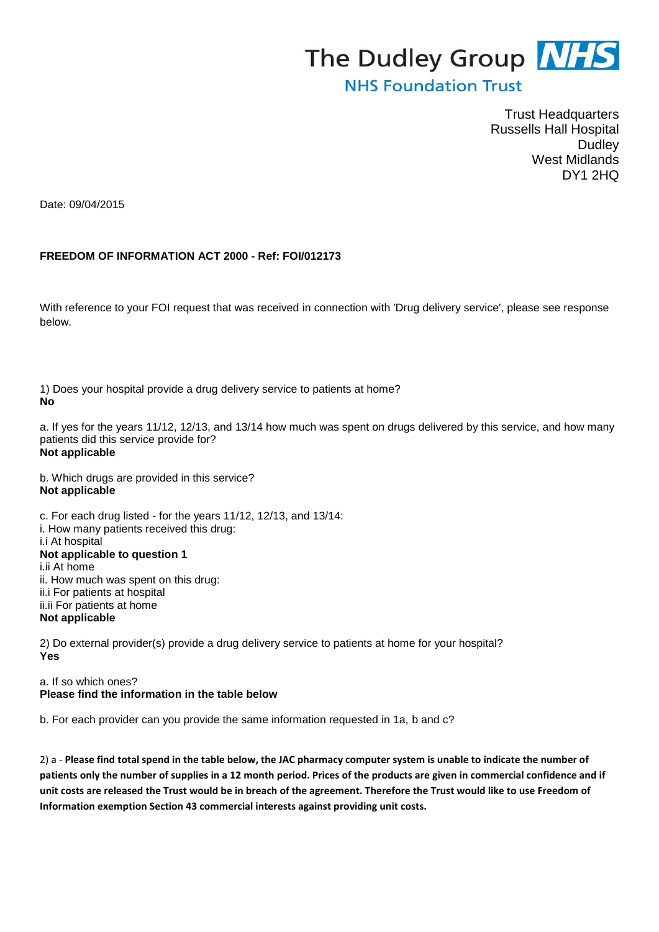## The Dudley Group **NHS**

## **NHS Foundation Trust**

Trust Headquarters Russells Hall Hospital Dudley West Midlands DY1 2HQ

Date: 09/04/2015

## **FREEDOM OF INFORMATION ACT 2000 - Ref: FOI/012173**

With reference to your FOI request that was received in connection with 'Drug delivery service', please see response below.

1) Does your hospital provide a drug delivery service to patients at home? **No** 

a. If yes for the years 11/12, 12/13, and 13/14 how much was spent on drugs delivered by this service, and how many patients did this service provide for? **Not applicable** 

b. Which drugs are provided in this service? **Not applicable** 

c. For each drug listed - for the years 11/12, 12/13, and 13/14: i. How many patients received this drug: i.i At hospital **Not applicable to question 1**  i.ii At home ii. How much was spent on this drug: ii.i For patients at hospital ii.ii For patients at home **Not applicable** 

2) Do external provider(s) provide a drug delivery service to patients at home for your hospital? **Yes** 

a. If so which ones? **Please find the information in the table below** 

b. For each provider can you provide the same information requested in 1a, b and c?

2) a - **Please find total spend in the table below, the JAC pharmacy computer system is unable to indicate the number of patients only the number of supplies in a 12 month period. Prices of the products are given in commercial confidence and if unit costs are released the Trust would be in breach of the agreement. Therefore the Trust would like to use Freedom of Information exemption Section 43 commercial interests against providing unit costs.**